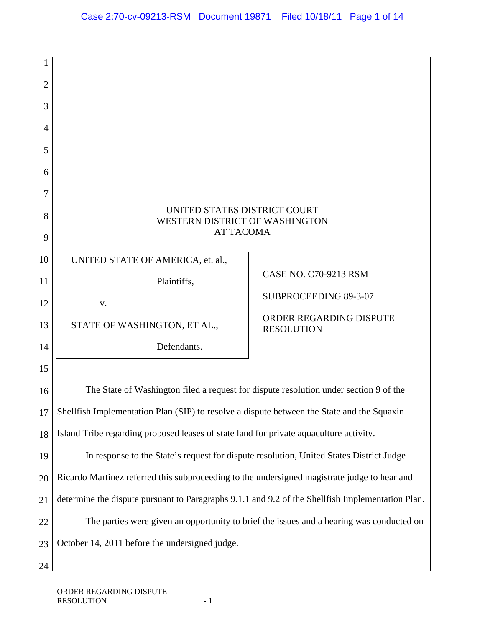| 2              |                                                                                                  |                                              |
|----------------|--------------------------------------------------------------------------------------------------|----------------------------------------------|
| 3              |                                                                                                  |                                              |
| $\overline{4}$ |                                                                                                  |                                              |
| 5              |                                                                                                  |                                              |
| 6              |                                                                                                  |                                              |
| 7              |                                                                                                  |                                              |
| 8              | UNITED STATES DISTRICT COURT<br>WESTERN DISTRICT OF WASHINGTON                                   |                                              |
| 9              | <b>AT TACOMA</b>                                                                                 |                                              |
| 10             | UNITED STATE OF AMERICA, et. al.,                                                                |                                              |
| 11             | Plaintiffs,                                                                                      | <b>CASE NO. C70-9213 RSM</b>                 |
| 12             | v.                                                                                               | SUBPROCEEDING 89-3-07                        |
| 13             | STATE OF WASHINGTON, ET AL.,                                                                     | ORDER REGARDING DISPUTE<br><b>RESOLUTION</b> |
| 14             | Defendants.                                                                                      |                                              |
| 15             |                                                                                                  |                                              |
| 16             | The State of Washington filed a request for dispute resolution under section 9 of the            |                                              |
| 17             | Shellfish Implementation Plan (SIP) to resolve a dispute between the State and the Squaxin       |                                              |
| 18             | Island Tribe regarding proposed leases of state land for private aquaculture activity.           |                                              |
| 19             | In response to the State's request for dispute resolution, United States District Judge          |                                              |
| 20             | Ricardo Martinez referred this subproceeding to the undersigned magistrate judge to hear and     |                                              |
| 21             | determine the dispute pursuant to Paragraphs 9.1.1 and 9.2 of the Shellfish Implementation Plan. |                                              |
| 22             | The parties were given an opportunity to brief the issues and a hearing was conducted on         |                                              |
| 23             | October 14, 2011 before the undersigned judge.                                                   |                                              |
| 24             |                                                                                                  |                                              |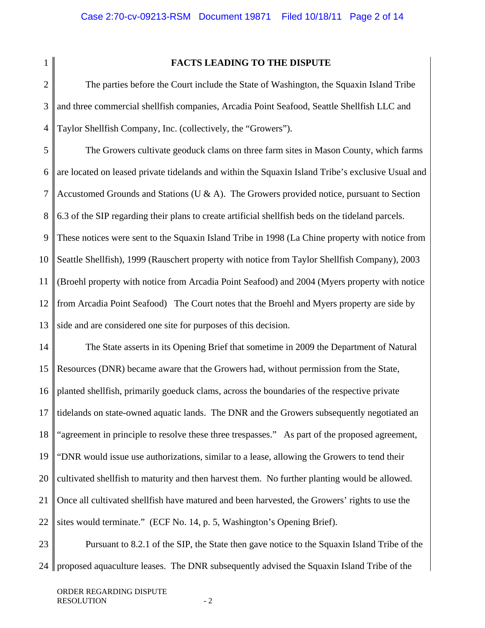$\mathcal{D}_{\mathcal{L}}$ 

1

## **FACTS LEADING TO THE DISPUTE**

3 4 The parties before the Court include the State of Washington, the Squaxin Island Tribe and three commercial shellfish companies, Arcadia Point Seafood, Seattle Shellfish LLC and Taylor Shellfish Company, Inc. (collectively, the "Growers").

5 6 7 8 9 10 11 12 13 The Growers cultivate geoduck clams on three farm sites in Mason County, which farms are located on leased private tidelands and within the Squaxin Island Tribe's exclusive Usual and Accustomed Grounds and Stations (U  $\&$  A). The Growers provided notice, pursuant to Section 6.3 of the SIP regarding their plans to create artificial shellfish beds on the tideland parcels. These notices were sent to the Squaxin Island Tribe in 1998 (La Chine property with notice from Seattle Shellfish), 1999 (Rauschert property with notice from Taylor Shellfish Company), 2003 (Broehl property with notice from Arcadia Point Seafood) and 2004 (Myers property with notice from Arcadia Point Seafood) The Court notes that the Broehl and Myers property are side by side and are considered one site for purposes of this decision.

14 15 16 17 18 19 20 21 22 The State asserts in its Opening Brief that sometime in 2009 the Department of Natural Resources (DNR) became aware that the Growers had, without permission from the State, planted shellfish, primarily goeduck clams, across the boundaries of the respective private tidelands on state-owned aquatic lands. The DNR and the Growers subsequently negotiated an "agreement in principle to resolve these three trespasses." As part of the proposed agreement, "DNR would issue use authorizations, similar to a lease, allowing the Growers to tend their cultivated shellfish to maturity and then harvest them. No further planting would be allowed. Once all cultivated shellfish have matured and been harvested, the Growers' rights to use the sites would terminate." (ECF No. 14, p. 5, Washington's Opening Brief).

23 24 proposed aquaculture leases. The DNR subsequently advised the Squaxin Island Tribe of the Pursuant to 8.2.1 of the SIP, the State then gave notice to the Squaxin Island Tribe of the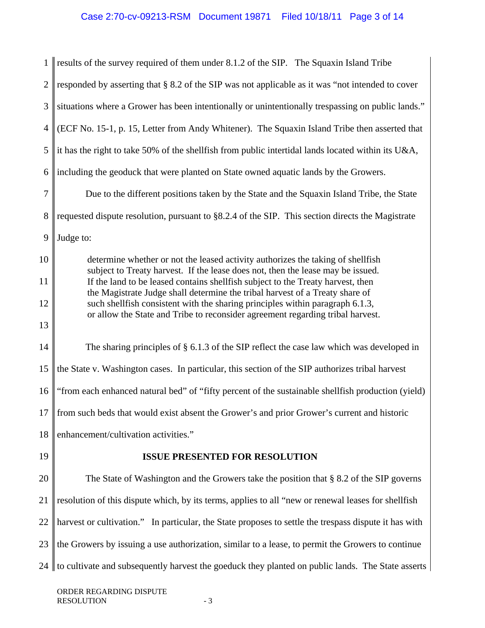1  $\mathcal{D}_{\mathcal{L}}$ 3 4 5 6 7 8 9 10 11 12 13 14 15 16 17 18 19 20 21 22 23  $24$ results of the survey required of them under 8.1.2 of the SIP. The Squaxin Island Tribe responded by asserting that § 8.2 of the SIP was not applicable as it was "not intended to cover situations where a Grower has been intentionally or unintentionally trespassing on public lands." (ECF No. 15-1, p. 15, Letter from Andy Whitener). The Squaxin Island Tribe then asserted that it has the right to take 50% of the shellfish from public intertidal lands located within its U&A, including the geoduck that were planted on State owned aquatic lands by the Growers. Due to the different positions taken by the State and the Squaxin Island Tribe, the State requested dispute resolution, pursuant to §8.2.4 of the SIP. This section directs the Magistrate Judge to: determine whether or not the leased activity authorizes the taking of shellfish subject to Treaty harvest. If the lease does not, then the lease may be issued. If the land to be leased contains shellfish subject to the Treaty harvest, then the Magistrate Judge shall determine the tribal harvest of a Treaty share of such shellfish consistent with the sharing principles within paragraph 6.1.3, or allow the State and Tribe to reconsider agreement regarding tribal harvest. The sharing principles of § 6.1.3 of the SIP reflect the case law which was developed in the State v. Washington cases. In particular, this section of the SIP authorizes tribal harvest "from each enhanced natural bed" of "fifty percent of the sustainable shellfish production (yield) from such beds that would exist absent the Grower's and prior Grower's current and historic enhancement/cultivation activities." **ISSUE PRESENTED FOR RESOLUTION**  The State of Washington and the Growers take the position that § 8.2 of the SIP governs resolution of this dispute which, by its terms, applies to all "new or renewal leases for shellfish harvest or cultivation." In particular, the State proposes to settle the trespass dispute it has with the Growers by issuing a use authorization, similar to a lease, to permit the Growers to continue to cultivate and subsequently harvest the goeduck they planted on public lands. The State asserts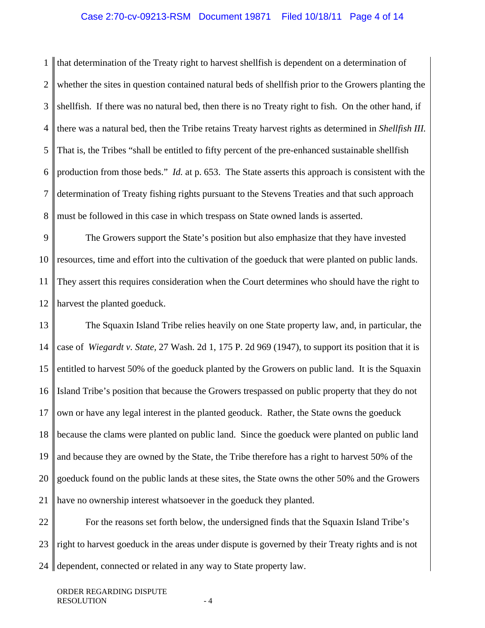1  $\mathcal{D}_{\mathcal{L}}$ 3 4 5 6 7 8 that determination of the Treaty right to harvest shellfish is dependent on a determination of whether the sites in question contained natural beds of shellfish prior to the Growers planting the shellfish. If there was no natural bed, then there is no Treaty right to fish. On the other hand, if there was a natural bed, then the Tribe retains Treaty harvest rights as determined in *Shellfish III.* That is, the Tribes "shall be entitled to fifty percent of the pre-enhanced sustainable shellfish production from those beds." *Id.* at p. 653. The State asserts this approach is consistent with the determination of Treaty fishing rights pursuant to the Stevens Treaties and that such approach must be followed in this case in which trespass on State owned lands is asserted.

9 10 11 12 The Growers support the State's position but also emphasize that they have invested resources, time and effort into the cultivation of the goeduck that were planted on public lands. They assert this requires consideration when the Court determines who should have the right to harvest the planted goeduck.

13 14 15 16 17 18 19 20 21 The Squaxin Island Tribe relies heavily on one State property law, and, in particular, the case of *Wiegardt v. State,* 27 Wash. 2d 1, 175 P. 2d 969 (1947), to support its position that it is entitled to harvest 50% of the goeduck planted by the Growers on public land. It is the Squaxin Island Tribe's position that because the Growers trespassed on public property that they do not own or have any legal interest in the planted geoduck. Rather, the State owns the goeduck because the clams were planted on public land. Since the goeduck were planted on public land and because they are owned by the State, the Tribe therefore has a right to harvest 50% of the goeduck found on the public lands at these sites, the State owns the other 50% and the Growers have no ownership interest whatsoever in the goeduck they planted.

22 23 24 ll For the reasons set forth below, the undersigned finds that the Squaxin Island Tribe's right to harvest goeduck in the areas under dispute is governed by their Treaty rights and is not dependent, connected or related in any way to State property law.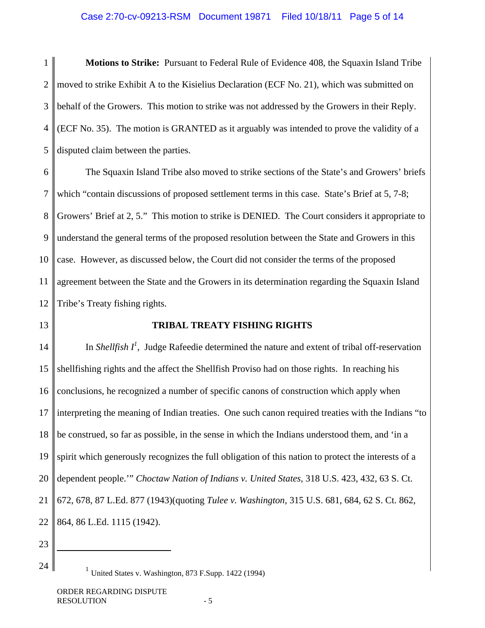# Case 2:70-cv-09213-RSM Document 19871 Filed 10/18/11 Page 5 of 14

1 2 3 4 5 **Motions to Strike:** Pursuant to Federal Rule of Evidence 408, the Squaxin Island Tribe moved to strike Exhibit A to the Kisielius Declaration (ECF No. 21), which was submitted on behalf of the Growers. This motion to strike was not addressed by the Growers in their Reply. (ECF No. 35). The motion is GRANTED as it arguably was intended to prove the validity of a disputed claim between the parties.

6 7 8 9 10 11 12 The Squaxin Island Tribe also moved to strike sections of the State's and Growers' briefs which "contain discussions of proposed settlement terms in this case. State's Brief at 5, 7-8; Growers' Brief at 2, 5." This motion to strike is DENIED. The Court considers it appropriate to understand the general terms of the proposed resolution between the State and Growers in this case. However, as discussed below, the Court did not consider the terms of the proposed agreement between the State and the Growers in its determination regarding the Squaxin Island Tribe's Treaty fishing rights.

13

### **TRIBAL TREATY FISHING RIGHTS**

14 15 16 17 18 19 20 21 22 In *Shellfish*  $I^l$ , Judge Rafeedie determined the nature and extent of tribal off-reservation shellfishing rights and the affect the Shellfish Proviso had on those rights. In reaching his conclusions, he recognized a number of specific canons of construction which apply when interpreting the meaning of Indian treaties. One such canon required treaties with the Indians "to be construed, so far as possible, in the sense in which the Indians understood them, and 'in a spirit which generously recognizes the full obligation of this nation to protect the interests of a dependent people.'" *Choctaw Nation of Indians v. United States,* 318 U.S. 423, 432, 63 S. Ct. 672, 678, 87 L.Ed. 877 (1943)(quoting *Tulee v. Washington,* 315 U.S. 681, 684, 62 S. Ct. 862, 864, 86 L.Ed. 1115 (1942).

23

24

 $<sup>1</sup>$  United States v. Washington, 873 F.Supp. 1422 (1994)</sup>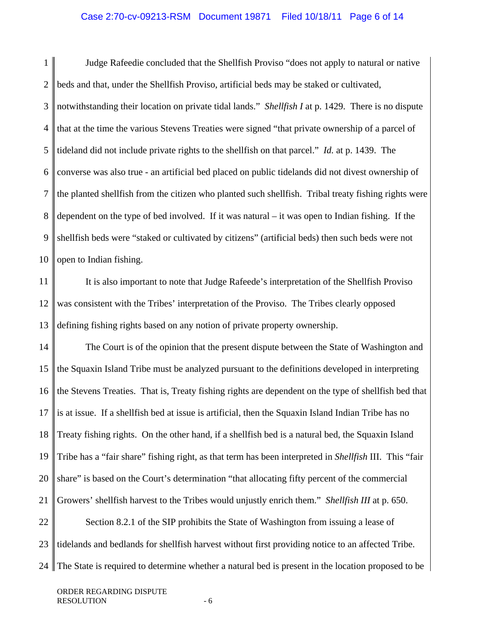1 2 3 4 5 6 7 8 9 10 Judge Rafeedie concluded that the Shellfish Proviso "does not apply to natural or native beds and that, under the Shellfish Proviso, artificial beds may be staked or cultivated, notwithstanding their location on private tidal lands." *Shellfish I* at p. 1429. There is no dispute that at the time the various Stevens Treaties were signed "that private ownership of a parcel of tideland did not include private rights to the shellfish on that parcel." *Id.* at p. 1439. The converse was also true - an artificial bed placed on public tidelands did not divest ownership of the planted shellfish from the citizen who planted such shellfish. Tribal treaty fishing rights were dependent on the type of bed involved. If it was natural – it was open to Indian fishing. If the shellfish beds were "staked or cultivated by citizens" (artificial beds) then such beds were not open to Indian fishing.

11 12 13 It is also important to note that Judge Rafeede's interpretation of the Shellfish Proviso was consistent with the Tribes' interpretation of the Proviso. The Tribes clearly opposed defining fishing rights based on any notion of private property ownership.

14 15 16 17 18 19 20 21 22 23 The Court is of the opinion that the present dispute between the State of Washington and the Squaxin Island Tribe must be analyzed pursuant to the definitions developed in interpreting the Stevens Treaties. That is, Treaty fishing rights are dependent on the type of shellfish bed that is at issue. If a shellfish bed at issue is artificial, then the Squaxin Island Indian Tribe has no Treaty fishing rights. On the other hand, if a shellfish bed is a natural bed, the Squaxin Island Tribe has a "fair share" fishing right, as that term has been interpreted in *Shellfish* III. This "fair share" is based on the Court's determination "that allocating fifty percent of the commercial Growers' shellfish harvest to the Tribes would unjustly enrich them." *Shellfish III* at p. 650. Section 8.2.1 of the SIP prohibits the State of Washington from issuing a lease of tidelands and bedlands for shellfish harvest without first providing notice to an affected Tribe.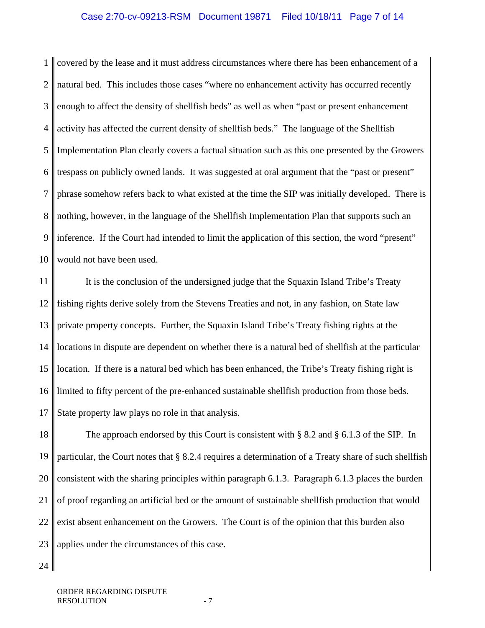1  $\mathcal{D}_{\mathcal{L}}$ 3 4 5 6 7 8 9 10 covered by the lease and it must address circumstances where there has been enhancement of a natural bed. This includes those cases "where no enhancement activity has occurred recently enough to affect the density of shellfish beds" as well as when "past or present enhancement activity has affected the current density of shellfish beds." The language of the Shellfish Implementation Plan clearly covers a factual situation such as this one presented by the Growers trespass on publicly owned lands. It was suggested at oral argument that the "past or present" phrase somehow refers back to what existed at the time the SIP was initially developed. There is nothing, however, in the language of the Shellfish Implementation Plan that supports such an inference. If the Court had intended to limit the application of this section, the word "present" would not have been used.

11 12 13 14 15 16 17 It is the conclusion of the undersigned judge that the Squaxin Island Tribe's Treaty fishing rights derive solely from the Stevens Treaties and not, in any fashion, on State law private property concepts. Further, the Squaxin Island Tribe's Treaty fishing rights at the locations in dispute are dependent on whether there is a natural bed of shellfish at the particular location. If there is a natural bed which has been enhanced, the Tribe's Treaty fishing right is limited to fifty percent of the pre-enhanced sustainable shellfish production from those beds. State property law plays no role in that analysis.

18 19 20 21 22 23 The approach endorsed by this Court is consistent with § 8.2 and § 6.1.3 of the SIP. In particular, the Court notes that § 8.2.4 requires a determination of a Treaty share of such shellfish consistent with the sharing principles within paragraph 6.1.3. Paragraph 6.1.3 places the burden of proof regarding an artificial bed or the amount of sustainable shellfish production that would exist absent enhancement on the Growers. The Court is of the opinion that this burden also applies under the circumstances of this case.

24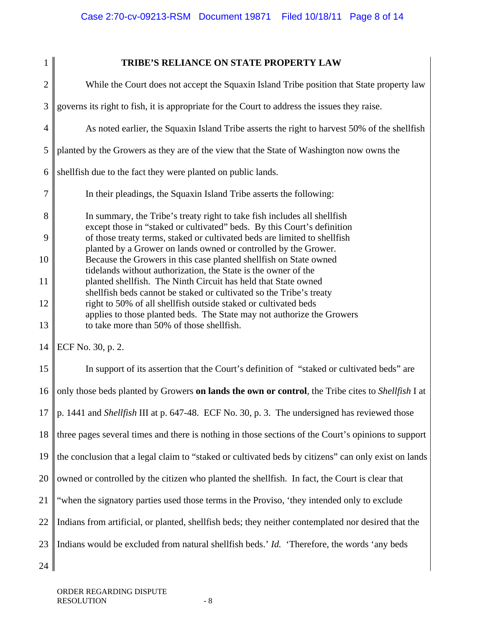| 1              | TRIBE'S RELIANCE ON STATE PROPERTY LAW                                                                                                                                                                            |
|----------------|-------------------------------------------------------------------------------------------------------------------------------------------------------------------------------------------------------------------|
| $\overline{2}$ | While the Court does not accept the Squaxin Island Tribe position that State property law                                                                                                                         |
| 3              | governs its right to fish, it is appropriate for the Court to address the issues they raise.                                                                                                                      |
| $\overline{4}$ | As noted earlier, the Squaxin Island Tribe asserts the right to harvest 50% of the shellfish                                                                                                                      |
| 5              | planted by the Growers as they are of the view that the State of Washington now owns the                                                                                                                          |
| 6              | shellfish due to the fact they were planted on public lands.                                                                                                                                                      |
| 7              | In their pleadings, the Squaxin Island Tribe asserts the following:                                                                                                                                               |
| 8              | In summary, the Tribe's treaty right to take fish includes all shellfish<br>except those in "staked or cultivated" beds. By this Court's definition                                                               |
| 9<br>10        | of those treaty terms, staked or cultivated beds are limited to shellfish<br>planted by a Grower on lands owned or controlled by the Grower.<br>Because the Growers in this case planted shellfish on State owned |
| 11             | tidelands without authorization, the State is the owner of the<br>planted shellfish. The Ninth Circuit has held that State owned<br>shellfish beds cannot be staked or cultivated so the Tribe's treaty           |
| 12             | right to 50% of all shellfish outside staked or cultivated beds                                                                                                                                                   |
| 13             | applies to those planted beds. The State may not authorize the Growers<br>to take more than 50% of those shellfish.                                                                                               |
| 14             | ECF No. 30, p. 2.                                                                                                                                                                                                 |
| 15             | In support of its assertion that the Court's definition of "staked or cultivated beds" are                                                                                                                        |
| 16             | only those beds planted by Growers on lands the own or control, the Tribe cites to Shellfish I at                                                                                                                 |
| $17 \parallel$ | p. 1441 and Shellfish III at p. 647-48. ECF No. 30, p. 3. The undersigned has reviewed those                                                                                                                      |
| 18             | three pages several times and there is nothing in those sections of the Court's opinions to support                                                                                                               |
| 19             | the conclusion that a legal claim to "staked or cultivated beds by citizens" can only exist on lands                                                                                                              |
| 20             | owned or controlled by the citizen who planted the shellfish. In fact, the Court is clear that                                                                                                                    |
| 21             | "when the signatory parties used those terms in the Proviso, 'they intended only to exclude                                                                                                                       |
| 22             | Indians from artificial, or planted, shellfish beds; they neither contemplated nor desired that the                                                                                                               |
| 23             | Indians would be excluded from natural shellfish beds.' Id. 'Therefore, the words 'any beds                                                                                                                       |
| 24             |                                                                                                                                                                                                                   |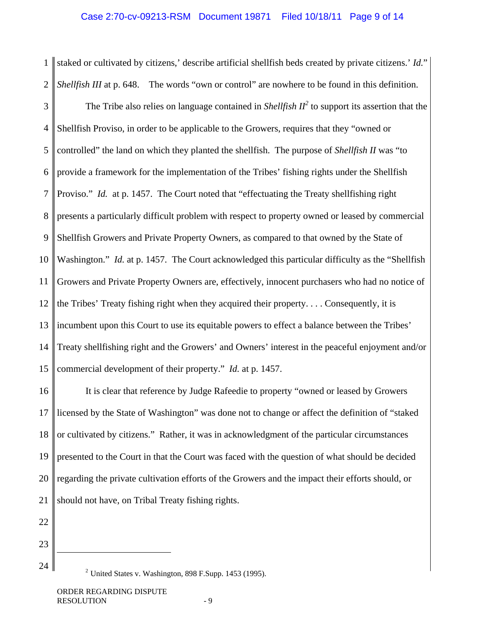staked or cultivated by citizens,' describe artificial shellfish beds created by private citizens.' *Id.*" *Shellfish III* at p. 648. The words "own or control" are nowhere to be found in this definition.

3 4 5 6 7 8 9 10 11 12 13 14 15 The Tribe also relies on language contained in *Shellfish*  $II^2$  to support its assertion that the Shellfish Proviso, in order to be applicable to the Growers, requires that they "owned or controlled" the land on which they planted the shellfish. The purpose of *Shellfish II* was "to provide a framework for the implementation of the Tribes' fishing rights under the Shellfish Proviso." *Id.* at p. 1457. The Court noted that "effectuating the Treaty shellfishing right presents a particularly difficult problem with respect to property owned or leased by commercial Shellfish Growers and Private Property Owners, as compared to that owned by the State of Washington." *Id.* at p. 1457. The Court acknowledged this particular difficulty as the "Shellfish Growers and Private Property Owners are, effectively, innocent purchasers who had no notice of the Tribes' Treaty fishing right when they acquired their property. . . . Consequently, it is incumbent upon this Court to use its equitable powers to effect a balance between the Tribes' Treaty shellfishing right and the Growers' and Owners' interest in the peaceful enjoyment and/or commercial development of their property." *Id.* at p. 1457.

16 17 18 19 20 21 It is clear that reference by Judge Rafeedie to property "owned or leased by Growers licensed by the State of Washington" was done not to change or affect the definition of "staked or cultivated by citizens." Rather, it was in acknowledgment of the particular circumstances presented to the Court in that the Court was faced with the question of what should be decided regarding the private cultivation efforts of the Growers and the impact their efforts should, or should not have, on Tribal Treaty fishing rights.

22 23

1

2

24

 $\overline{a}$ 

 $<sup>2</sup>$  United States v. Washington, 898 F.Supp. 1453 (1995).</sup>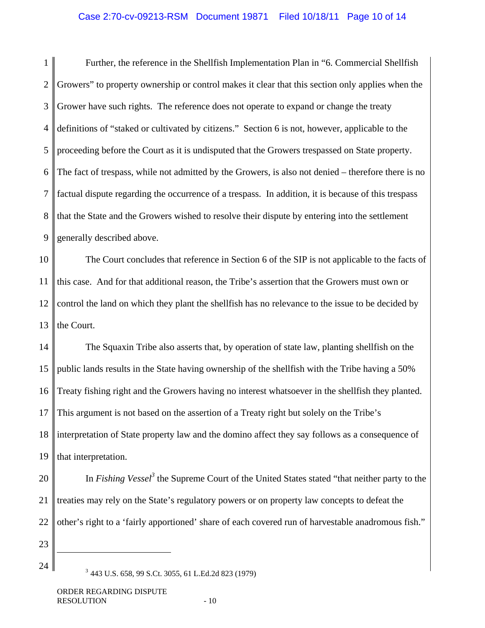# Case 2:70-cv-09213-RSM Document 19871 Filed 10/18/11 Page 10 of 14

1 2 3 4 5 6 7 8 9 Further, the reference in the Shellfish Implementation Plan in "6. Commercial Shellfish Growers" to property ownership or control makes it clear that this section only applies when the Grower have such rights. The reference does not operate to expand or change the treaty definitions of "staked or cultivated by citizens." Section 6 is not, however, applicable to the proceeding before the Court as it is undisputed that the Growers trespassed on State property. The fact of trespass, while not admitted by the Growers, is also not denied – therefore there is no factual dispute regarding the occurrence of a trespass. In addition, it is because of this trespass that the State and the Growers wished to resolve their dispute by entering into the settlement generally described above.

10 11 12 13 The Court concludes that reference in Section 6 of the SIP is not applicable to the facts of this case. And for that additional reason, the Tribe's assertion that the Growers must own or control the land on which they plant the shellfish has no relevance to the issue to be decided by the Court.

14 15 16 17 18 19 The Squaxin Tribe also asserts that, by operation of state law, planting shellfish on the public lands results in the State having ownership of the shellfish with the Tribe having a 50% Treaty fishing right and the Growers having no interest whatsoever in the shellfish they planted. This argument is not based on the assertion of a Treaty right but solely on the Tribe's interpretation of State property law and the domino affect they say follows as a consequence of that interpretation.

20

21 22 In *Fishing Vessel*<sup>3</sup> the Supreme Court of the United States stated "that neither party to the treaties may rely on the State's regulatory powers or on property law concepts to defeat the other's right to a 'fairly apportioned' share of each covered run of harvestable anadromous fish."

23

 $\overline{a}$ 

24

<sup>3</sup> 443 U.S. 658, 99 S.Ct. 3055, 61 L.Ed.2d 823 (1979)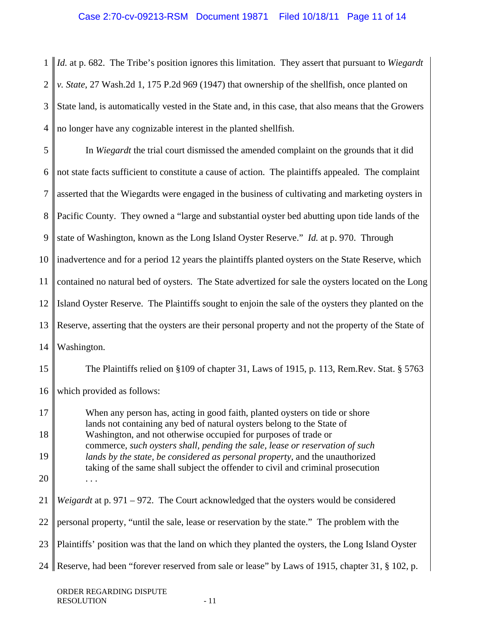1 2 3 4 *Id.* at p. 682. The Tribe's position ignores this limitation. They assert that pursuant to *Wiegardt v. State*, 27 Wash.2d 1, 175 P.2d 969 (1947) that ownership of the shellfish, once planted on State land, is automatically vested in the State and, in this case, that also means that the Growers no longer have any cognizable interest in the planted shellfish.

| 5              | In Wiegardt the trial court dismissed the amended complaint on the grounds that it did                                                                                                                                                          |
|----------------|-------------------------------------------------------------------------------------------------------------------------------------------------------------------------------------------------------------------------------------------------|
| 6              | not state facts sufficient to constitute a cause of action. The plaintiffs appealed. The complaint                                                                                                                                              |
| $\overline{7}$ | asserted that the Wiegardts were engaged in the business of cultivating and marketing oysters in                                                                                                                                                |
| 8              | Pacific County. They owned a "large and substantial oyster bed abutting upon tide lands of the                                                                                                                                                  |
| 9              | state of Washington, known as the Long Island Oyster Reserve." Id. at p. 970. Through                                                                                                                                                           |
| 10             | inadvertence and for a period 12 years the plaintiffs planted oysters on the State Reserve, which                                                                                                                                               |
| 11             | contained no natural bed of oysters. The State advertized for sale the oysters located on the Long                                                                                                                                              |
| 12             | Island Oyster Reserve. The Plaintiffs sought to enjoin the sale of the oysters they planted on the                                                                                                                                              |
| 13             | Reserve, asserting that the oysters are their personal property and not the property of the State of                                                                                                                                            |
| 14             | Washington.                                                                                                                                                                                                                                     |
| 15             | The Plaintiffs relied on §109 of chapter 31, Laws of 1915, p. 113, Rem.Rev. Stat. § 5763                                                                                                                                                        |
| 16             | which provided as follows:                                                                                                                                                                                                                      |
| 17             | When any person has, acting in good faith, planted oysters on tide or shore<br>lands not containing any bed of natural oysters belong to the State of                                                                                           |
| 18             | Washington, and not otherwise occupied for purposes of trade or                                                                                                                                                                                 |
| 19             | commerce, such oysters shall, pending the sale, lease or reservation of such<br>lands by the state, be considered as personal property, and the unauthorized<br>taking of the same shall subject the offender to civil and criminal prosecution |
| 20             |                                                                                                                                                                                                                                                 |
| 21             | Weigardt at p. 971 - 972. The Court acknowledged that the oysters would be considered                                                                                                                                                           |
| 22             | personal property, "until the sale, lease or reservation by the state." The problem with the                                                                                                                                                    |
| 23             | Plaintiffs' position was that the land on which they planted the oysters, the Long Island Oyster                                                                                                                                                |
| 24             | Reserve, had been "forever reserved from sale or lease" by Laws of 1915, chapter 31, § 102, p.                                                                                                                                                  |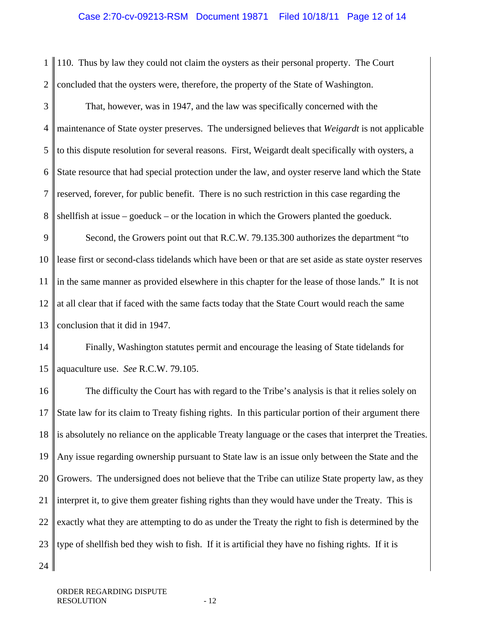# Case 2:70-cv-09213-RSM Document 19871 Filed 10/18/11 Page 12 of 14

1 2 110. Thus by law they could not claim the oysters as their personal property. The Court concluded that the oysters were, therefore, the property of the State of Washington.

3 4 5 6 7 8 That, however, was in 1947, and the law was specifically concerned with the maintenance of State oyster preserves. The undersigned believes that *Weigardt* is not applicable to this dispute resolution for several reasons. First, Weigardt dealt specifically with oysters, a State resource that had special protection under the law, and oyster reserve land which the State reserved, forever, for public benefit. There is no such restriction in this case regarding the shellfish at issue – goeduck – or the location in which the Growers planted the goeduck.

9 10 11 12 13 Second, the Growers point out that R.C.W. 79.135.300 authorizes the department "to lease first or second-class tidelands which have been or that are set aside as state oyster reserves in the same manner as provided elsewhere in this chapter for the lease of those lands." It is not at all clear that if faced with the same facts today that the State Court would reach the same conclusion that it did in 1947.

14 15 Finally, Washington statutes permit and encourage the leasing of State tidelands for aquaculture use. *See* R.C.W. 79.105.

16 17 18 19 20 21 22 23 The difficulty the Court has with regard to the Tribe's analysis is that it relies solely on State law for its claim to Treaty fishing rights. In this particular portion of their argument there is absolutely no reliance on the applicable Treaty language or the cases that interpret the Treaties. Any issue regarding ownership pursuant to State law is an issue only between the State and the Growers. The undersigned does not believe that the Tribe can utilize State property law, as they interpret it, to give them greater fishing rights than they would have under the Treaty. This is exactly what they are attempting to do as under the Treaty the right to fish is determined by the type of shellfish bed they wish to fish. If it is artificial they have no fishing rights. If it is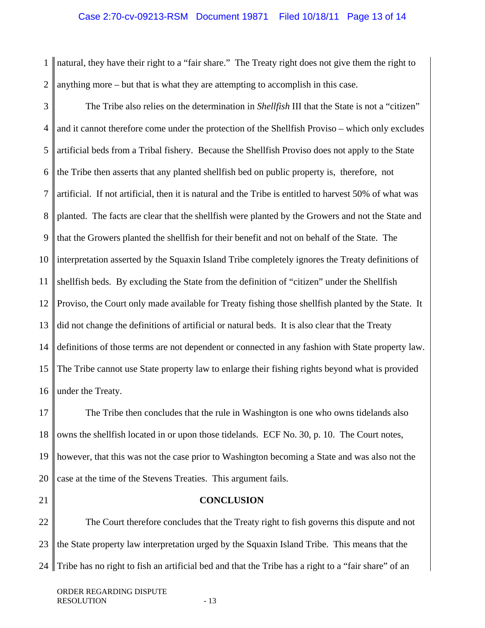## Case 2:70-cv-09213-RSM Document 19871 Filed 10/18/11 Page 13 of 14

1  $\mathcal{D}_{\mathcal{L}}$ natural, they have their right to a "fair share." The Treaty right does not give them the right to anything more – but that is what they are attempting to accomplish in this case.

3 4 5 6 7 8 9 10 11 12 13 14 15 16 The Tribe also relies on the determination in *Shellfish* III that the State is not a "citizen" and it cannot therefore come under the protection of the Shellfish Proviso – which only excludes artificial beds from a Tribal fishery. Because the Shellfish Proviso does not apply to the State the Tribe then asserts that any planted shellfish bed on public property is, therefore, not artificial. If not artificial, then it is natural and the Tribe is entitled to harvest 50% of what was planted. The facts are clear that the shellfish were planted by the Growers and not the State and that the Growers planted the shellfish for their benefit and not on behalf of the State. The interpretation asserted by the Squaxin Island Tribe completely ignores the Treaty definitions of shellfish beds. By excluding the State from the definition of "citizen" under the Shellfish Proviso, the Court only made available for Treaty fishing those shellfish planted by the State. It did not change the definitions of artificial or natural beds. It is also clear that the Treaty definitions of those terms are not dependent or connected in any fashion with State property law. The Tribe cannot use State property law to enlarge their fishing rights beyond what is provided under the Treaty.

17 18 19 20 The Tribe then concludes that the rule in Washington is one who owns tidelands also owns the shellfish located in or upon those tidelands. ECF No. 30, p. 10. The Court notes, however, that this was not the case prior to Washington becoming a State and was also not the case at the time of the Stevens Treaties. This argument fails.

21

#### **CONCLUSION**

22 23 24 II The Court therefore concludes that the Treaty right to fish governs this dispute and not the State property law interpretation urged by the Squaxin Island Tribe. This means that the Tribe has no right to fish an artificial bed and that the Tribe has a right to a "fair share" of an